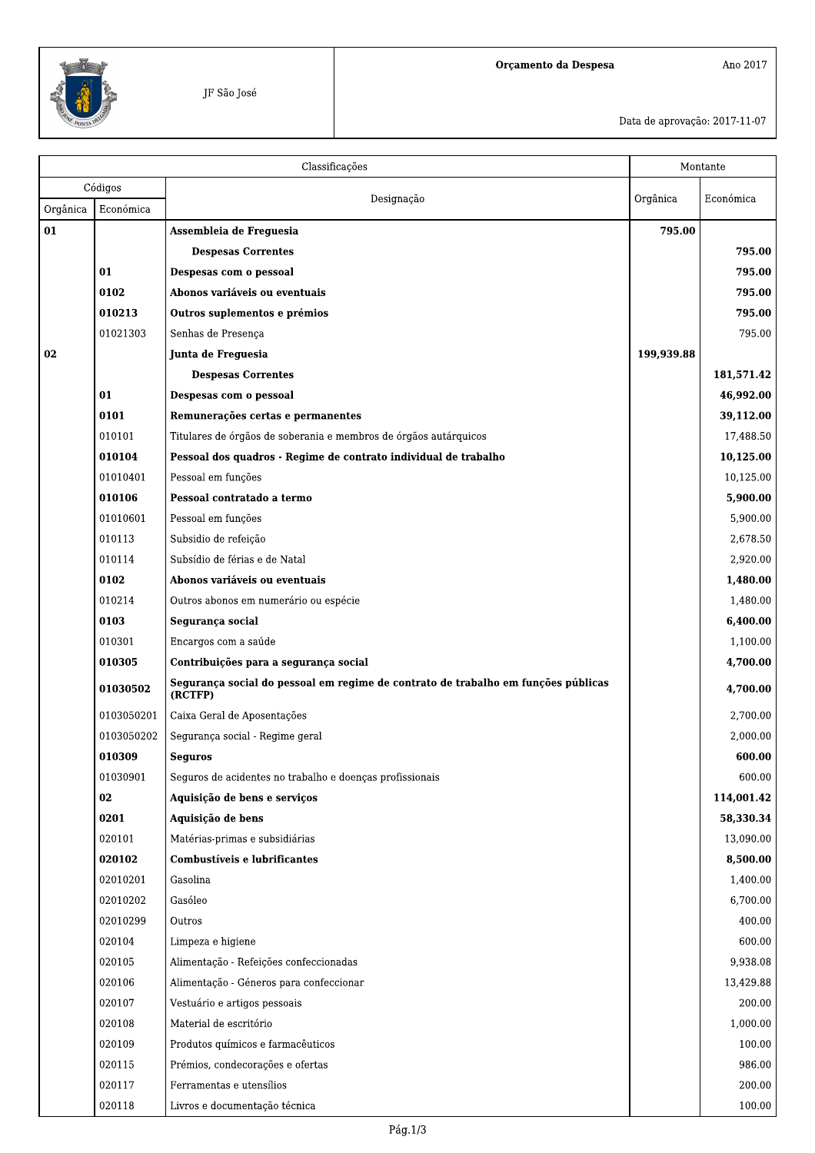

Ano $2017\,$ 

Data de aprovação: 2017-11-07

|          |            | Classificações<br>Montante                                                                   |            |            |
|----------|------------|----------------------------------------------------------------------------------------------|------------|------------|
|          | Códigos    | Designação                                                                                   | Orgânica   | Económica  |
| Orgânica | Económica  |                                                                                              |            |            |
| 01       |            | Assembleia de Frequesia                                                                      | 795.00     |            |
|          |            | <b>Despesas Correntes</b>                                                                    |            | 795.00     |
|          | 01         | Despesas com o pessoal                                                                       |            | 795.00     |
|          | 0102       | Abonos variáveis ou eventuais                                                                |            | 795.00     |
|          | 010213     | Outros suplementos e prémios                                                                 |            | 795.00     |
|          | 01021303   | Senhas de Presença                                                                           |            | 795.00     |
| 02       |            | Junta de Freguesia                                                                           | 199,939.88 |            |
|          |            | <b>Despesas Correntes</b>                                                                    |            | 181,571.42 |
|          | 01         | Despesas com o pessoal                                                                       |            | 46,992.00  |
|          | 0101       | Remunerações certas e permanentes                                                            |            | 39,112.00  |
|          | 010101     | Titulares de órgãos de soberania e membros de órgãos autárquicos                             |            | 17,488.50  |
|          | 010104     | Pessoal dos quadros - Regime de contrato individual de trabalho                              |            | 10,125.00  |
|          | 01010401   | Pessoal em funções                                                                           |            | 10,125.00  |
|          | 010106     | Pessoal contratado a termo                                                                   |            | 5,900.00   |
|          | 01010601   | Pessoal em funções                                                                           |            | 5,900.00   |
|          | 010113     | Subsidio de refeição                                                                         |            | 2,678.50   |
|          | 010114     | Subsídio de férias e de Natal                                                                |            | 2,920.00   |
|          | 0102       | Abonos variáveis ou eventuais                                                                |            | 1,480.00   |
|          | 010214     | Outros abonos em numerário ou espécie                                                        |            | 1,480.00   |
|          | 0103       | Segurança social                                                                             |            | 6,400.00   |
|          | 010301     | Encargos com a saúde                                                                         |            | 1,100.00   |
|          | 010305     | Contribuições para a segurança social                                                        |            | 4,700.00   |
|          | 01030502   | Segurança social do pessoal em regime de contrato de trabalho em funções públicas<br>(RCTFP) |            | 4,700.00   |
|          | 0103050201 | Caixa Geral de Aposentações                                                                  |            | 2,700.00   |
|          | 0103050202 | Segurança social - Regime geral                                                              |            | 2,000.00   |
|          | 010309     | <b>Sequros</b>                                                                               |            | 600.00     |
|          | 01030901   | Seguros de acidentes no trabalho e doenças profissionais                                     |            | 600.00     |
|          | 02         | Aquisição de bens e serviços                                                                 |            | 114,001.42 |
|          | 0201       | Aquisição de bens                                                                            |            | 58,330.34  |
|          | 020101     | Matérias-primas e subsidiárias                                                               |            | 13,090.00  |
|          | 020102     | Combustíveis e lubrificantes                                                                 |            | 8,500.00   |
|          | 02010201   | Gasolina                                                                                     |            | 1,400.00   |
|          | 02010202   | Gasóleo                                                                                      |            | 6,700.00   |
|          | 02010299   | Outros                                                                                       |            | 400.00     |
|          | 020104     | Limpeza e higiene                                                                            |            | 600.00     |
|          | 020105     | Alimentação - Refeições confeccionadas                                                       |            | 9,938.08   |
|          | 020106     | Alimentação - Géneros para confeccionar                                                      |            | 13,429.88  |
|          | 020107     | Vestuário e artigos pessoais                                                                 |            | 200.00     |
|          | 020108     | Material de escritório                                                                       |            | 1,000.00   |
|          | 020109     | Produtos químicos e farmacêuticos                                                            |            | 100.00     |
|          | 020115     | Prémios, condecorações e ofertas                                                             |            | 986.00     |
|          | 020117     | Ferramentas e utensílios                                                                     |            | 200.00     |
|          | 020118     | Livros e documentação técnica                                                                |            | 100.00     |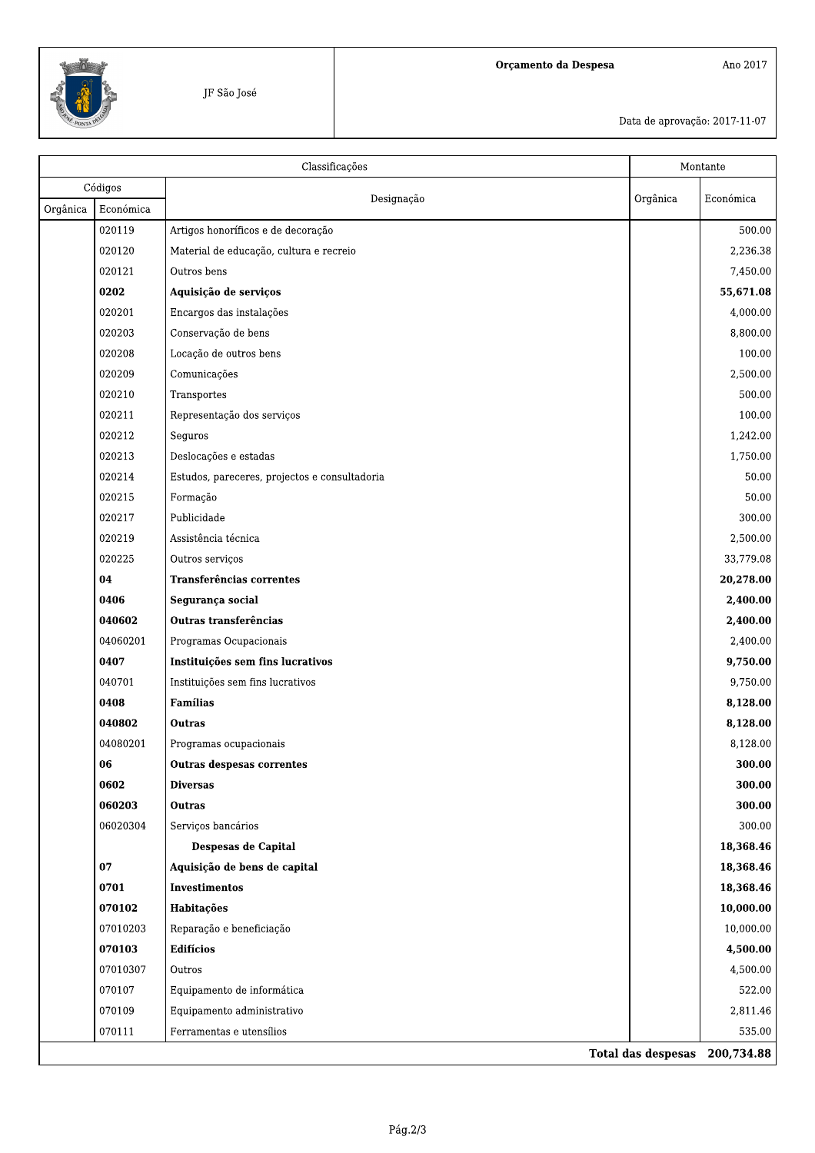

Data de aprovação: 2017-11-07

|          | Classificações |                                               |          | Montante                      |  |
|----------|----------------|-----------------------------------------------|----------|-------------------------------|--|
|          | Códigos        |                                               |          |                               |  |
| Orgânica | Económica      | Designação                                    | Orgânica | Económica                     |  |
|          | 020119         | Artigos honoríficos e de decoração            |          | 500.00                        |  |
|          | 020120         | Material de educação, cultura e recreio       |          | 2,236.38                      |  |
|          | 020121         | Outros bens                                   |          | 7,450.00                      |  |
|          | 0202           | Aquisição de serviços                         |          | 55,671.08                     |  |
|          | 020201         | Encargos das instalações                      |          | 4,000.00                      |  |
|          | 020203         | Conservação de bens                           |          | 8,800.00                      |  |
|          | 020208         | Locação de outros bens                        |          | 100.00                        |  |
|          | 020209         | Comunicações                                  |          | 2,500.00                      |  |
|          | 020210         | Transportes                                   |          | 500.00                        |  |
|          | 020211         | Representação dos serviços                    |          | 100.00                        |  |
|          | 020212         | Seguros                                       |          | 1,242.00                      |  |
|          | 020213         | Deslocações e estadas                         |          | 1,750.00                      |  |
|          | 020214         | Estudos, pareceres, projectos e consultadoria |          | 50.00                         |  |
|          | 020215         | Formação                                      |          | 50.00                         |  |
|          | 020217         | Publicidade                                   |          | 300.00                        |  |
|          | 020219         | Assistência técnica                           |          | 2,500.00                      |  |
|          | 020225         | Outros serviços                               |          | 33,779.08                     |  |
|          | 04             | Transferências correntes                      |          | 20,278.00                     |  |
|          | 0406           | Segurança social                              |          | 2,400.00                      |  |
|          | 040602         | Outras transferências                         |          | 2,400.00                      |  |
|          | 04060201       | Programas Ocupacionais                        |          | 2,400.00                      |  |
|          | 0407           | Instituições sem fins lucrativos              |          | 9,750.00                      |  |
|          | 040701         | Instituições sem fins lucrativos              |          | 9,750.00                      |  |
|          | 0408           | <b>Famílias</b>                               |          | 8,128.00                      |  |
|          | 040802         | <b>Outras</b>                                 |          | 8,128.00                      |  |
|          | 04080201       | Programas ocupacionais                        |          | 8,128.00                      |  |
|          | 06             | <b>Outras despesas correntes</b>              |          | 300.00                        |  |
|          | 0602           | <b>Diversas</b>                               |          | 300.00                        |  |
|          | 060203         | <b>Outras</b>                                 |          | 300.00                        |  |
|          | 06020304       | Serviços bancários                            |          | 300.00                        |  |
|          |                | Despesas de Capital                           |          | 18,368.46                     |  |
|          | 07             | Aquisição de bens de capital                  |          | 18,368.46                     |  |
|          | 0701           | <b>Investimentos</b>                          |          | 18,368.46                     |  |
|          | 070102         | Habitações                                    |          | 10,000.00                     |  |
|          | 07010203       | Reparação e beneficiação                      |          | 10,000.00                     |  |
|          | 070103         | <b>Edifícios</b>                              |          | 4,500.00                      |  |
|          | 07010307       | Outros                                        |          | 4,500.00                      |  |
|          | 070107         | Equipamento de informática                    |          | 522.00                        |  |
|          | 070109         | Equipamento administrativo                    |          | 2,811.46                      |  |
|          | 070111         | Ferramentas e utensílios                      |          | 535.00                        |  |
|          |                |                                               |          | Total das despesas 200,734.88 |  |